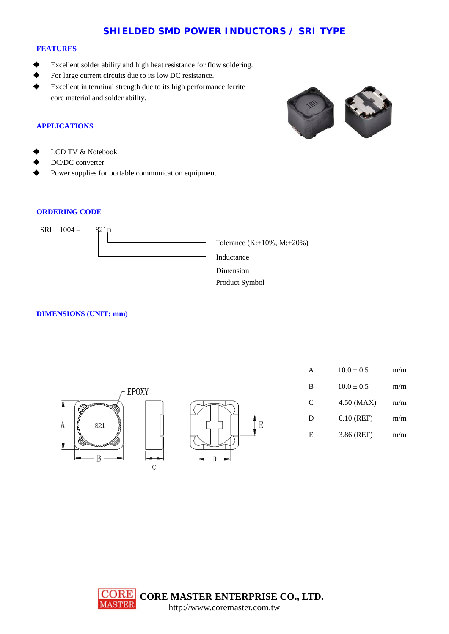## **SHIELDED SMD POWER INDUCTORS / SRI TYPE**

#### **FEATURES**

- Excellent solder ability and high heat resistance for flow soldering.
- For large current circuits due to its low DC resistance.
- Excellent in terminal strength due to its high performance ferrite core material and solder ability.





- LCD TV & Notebook
- DC/DC converter
- Power supplies for portable communication equipment

### **ORDERING CODE**



### **DIMENSIONS (UNIT: mm)**



| A | $10.0 \pm 0.5$ | m/m |
|---|----------------|-----|
| B | $10.0 \pm 0.5$ | m/m |
| C | 4.50 (MAX)     | m/m |
| D | $6.10$ (REF)   | m/m |
| Е | 3.86 (REF)     | m/m |